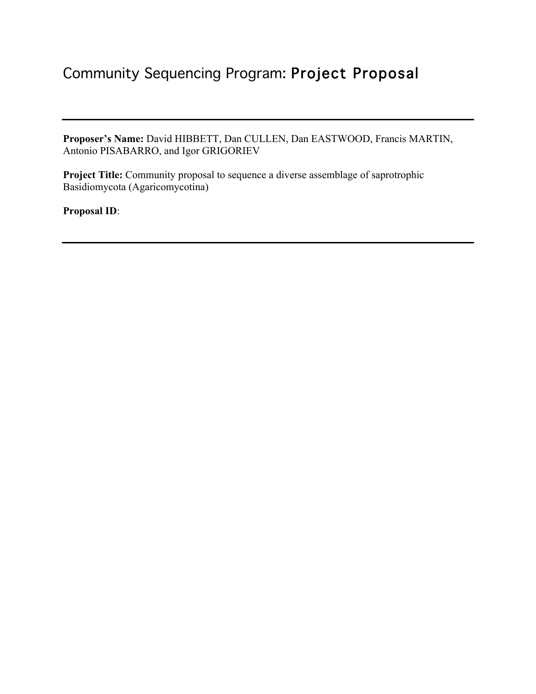# Community Sequencing Program: Project Proposal

**Proposer's Name:** David HIBBETT, Dan CULLEN, Dan EASTWOOD, Francis MARTIN, Antonio PISABARRO, and Igor GRIGORIEV

**Project Title:** Community proposal to sequence a diverse assemblage of saprotrophic Basidiomycota (Agaricomycotina)

**Proposal ID**: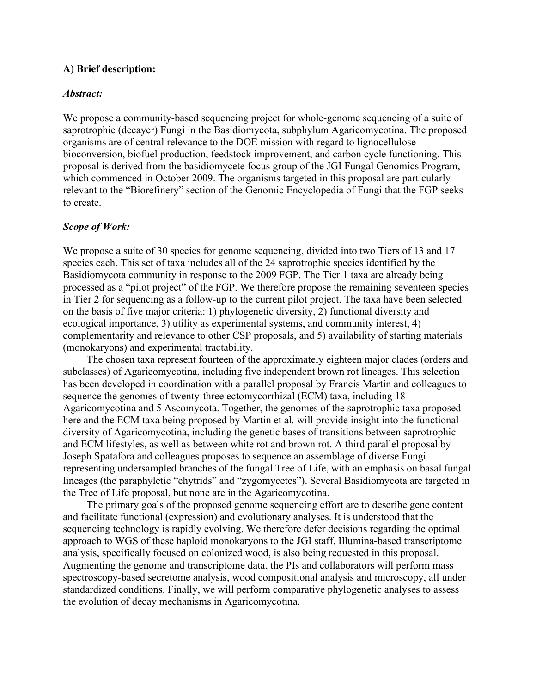## **A) Brief description:**

## *Abstract:*

We propose a community-based sequencing project for whole-genome sequencing of a suite of saprotrophic (decayer) Fungi in the Basidiomycota, subphylum Agaricomycotina. The proposed organisms are of central relevance to the DOE mission with regard to lignocellulose bioconversion, biofuel production, feedstock improvement, and carbon cycle functioning. This proposal is derived from the basidiomycete focus group of the JGI Fungal Genomics Program, which commenced in October 2009. The organisms targeted in this proposal are particularly relevant to the "Biorefinery" section of the Genomic Encyclopedia of Fungi that the FGP seeks to create.

## *Scope of Work:*

We propose a suite of 30 species for genome sequencing, divided into two Tiers of 13 and 17 species each. This set of taxa includes all of the 24 saprotrophic species identified by the Basidiomycota community in response to the 2009 FGP. The Tier 1 taxa are already being processed as a "pilot project" of the FGP. We therefore propose the remaining seventeen species in Tier 2 for sequencing as a follow-up to the current pilot project. The taxa have been selected on the basis of five major criteria: 1) phylogenetic diversity, 2) functional diversity and ecological importance, 3) utility as experimental systems, and community interest, 4) complementarity and relevance to other CSP proposals, and 5) availability of starting materials (monokaryons) and experimental tractability.

The chosen taxa represent fourteen of the approximately eighteen major clades (orders and subclasses) of Agaricomycotina, including five independent brown rot lineages. This selection has been developed in coordination with a parallel proposal by Francis Martin and colleagues to sequence the genomes of twenty-three ectomycorrhizal (ECM) taxa, including 18 Agaricomycotina and 5 Ascomycota. Together, the genomes of the saprotrophic taxa proposed here and the ECM taxa being proposed by Martin et al. will provide insight into the functional diversity of Agaricomycotina, including the genetic bases of transitions between saprotrophic and ECM lifestyles, as well as between white rot and brown rot. A third parallel proposal by Joseph Spatafora and colleagues proposes to sequence an assemblage of diverse Fungi representing undersampled branches of the fungal Tree of Life, with an emphasis on basal fungal lineages (the paraphyletic "chytrids" and "zygomycetes"). Several Basidiomycota are targeted in the Tree of Life proposal, but none are in the Agaricomycotina.

The primary goals of the proposed genome sequencing effort are to describe gene content and facilitate functional (expression) and evolutionary analyses. It is understood that the sequencing technology is rapidly evolving. We therefore defer decisions regarding the optimal approach to WGS of these haploid monokaryons to the JGI staff. Illumina-based transcriptome analysis, specifically focused on colonized wood, is also being requested in this proposal. Augmenting the genome and transcriptome data, the PIs and collaborators will perform mass spectroscopy-based secretome analysis, wood compositional analysis and microscopy, all under standardized conditions. Finally, we will perform comparative phylogenetic analyses to assess the evolution of decay mechanisms in Agaricomycotina.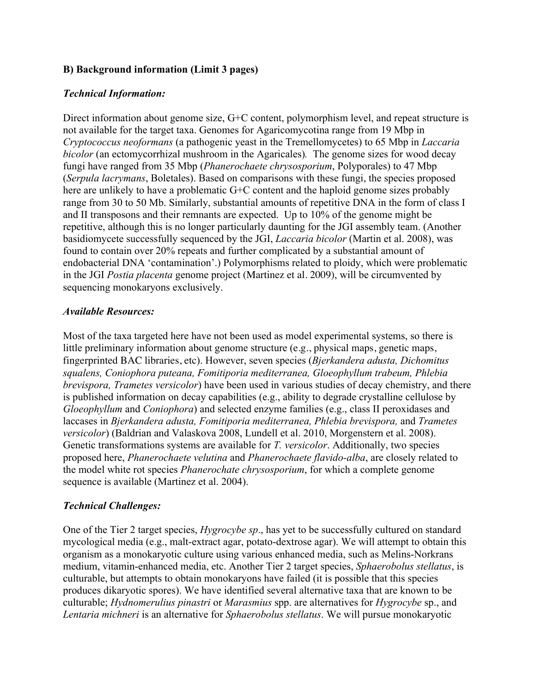# **B) Background information (Limit 3 pages)**

# *Technical Information:*

Direct information about genome size, G+C content, polymorphism level, and repeat structure is not available for the target taxa. Genomes for Agaricomycotina range from 19 Mbp in *Cryptococcus neoformans* (a pathogenic yeast in the Tremellomycetes) to 65 Mbp in *Laccaria bicolor* (an ectomycorrhizal mushroom in the Agaricales)*.* The genome sizes for wood decay fungi have ranged from 35 Mbp (*Phanerochaete chrysosporium*, Polyporales) to 47 Mbp (*Serpula lacrymans*, Boletales). Based on comparisons with these fungi, the species proposed here are unlikely to have a problematic G+C content and the haploid genome sizes probably range from 30 to 50 Mb. Similarly, substantial amounts of repetitive DNA in the form of class I and II transposons and their remnants are expected. Up to 10% of the genome might be repetitive, although this is no longer particularly daunting for the JGI assembly team. (Another basidiomycete successfully sequenced by the JGI, *Laccaria bicolor* (Martin et al. 2008), was found to contain over 20% repeats and further complicated by a substantial amount of endobacterial DNA 'contamination'.) Polymorphisms related to ploidy, which were problematic in the JGI *Postia placenta* genome project (Martinez et al. 2009), will be circumvented by sequencing monokaryons exclusively.

# *Available Resources:*

Most of the taxa targeted here have not been used as model experimental systems, so there is little preliminary information about genome structure (e.g., physical maps, genetic maps, fingerprinted BAC libraries, etc). However, seven species (*Bjerkandera adusta, Dichomitus squalens, Coniophora puteana, Fomitiporia mediterranea, Gloeophyllum trabeum, Phlebia brevispora, Trametes versicolor*) have been used in various studies of decay chemistry, and there is published information on decay capabilities (e.g., ability to degrade crystalline cellulose by *Gloeophyllum* and *Coniophora*) and selected enzyme families (e.g., class II peroxidases and laccases in *Bjerkandera adusta, Fomitiporia mediterranea, Phlebia brevispora,* and *Trametes versicolor*) (Baldrian and Valaskova 2008, Lundell et al. 2010, Morgenstern et al. 2008). Genetic transformations systems are available for *T. versicolor*. Additionally, two species proposed here, *Phanerochaete velutina* and *Phanerochaete flavido-alba*, are closely related to the model white rot species *Phanerochate chrysosporium*, for which a complete genome sequence is available (Martinez et al. 2004).

# *Technical Challenges:*

One of the Tier 2 target species, *Hygrocybe sp*., has yet to be successfully cultured on standard mycological media (e.g., malt-extract agar, potato-dextrose agar). We will attempt to obtain this organism as a monokaryotic culture using various enhanced media, such as Melins-Norkrans medium, vitamin-enhanced media, etc. Another Tier 2 target species, *Sphaerobolus stellatus*, is culturable, but attempts to obtain monokaryons have failed (it is possible that this species produces dikaryotic spores). We have identified several alternative taxa that are known to be culturable; *Hydnomerulius pinastri* or *Marasmius* spp. are alternatives for *Hygrocybe* sp., and *Lentaria michneri* is an alternative for *Sphaerobolus stellatus*. We will pursue monokaryotic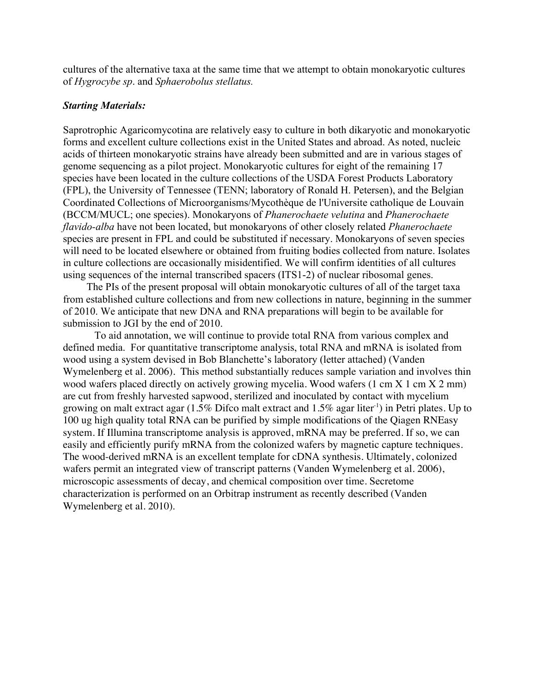cultures of the alternative taxa at the same time that we attempt to obtain monokaryotic cultures of *Hygrocybe sp*. and *Sphaerobolus stellatus.*

#### *Starting Materials:*

Saprotrophic Agaricomycotina are relatively easy to culture in both dikaryotic and monokaryotic forms and excellent culture collections exist in the United States and abroad. As noted, nucleic acids of thirteen monokaryotic strains have already been submitted and are in various stages of genome sequencing as a pilot project. Monokaryotic cultures for eight of the remaining 17 species have been located in the culture collections of the USDA Forest Products Laboratory (FPL), the University of Tennessee (TENN; laboratory of Ronald H. Petersen), and the Belgian Coordinated Collections of Microorganisms/Mycothèque de l'Universite catholique de Louvain (BCCM/MUCL; one species). Monokaryons of *Phanerochaete velutina* and *Phanerochaete flavido-alba* have not been located, but monokaryons of other closely related *Phanerochaete* species are present in FPL and could be substituted if necessary. Monokaryons of seven species will need to be located elsewhere or obtained from fruiting bodies collected from nature. Isolates in culture collections are occasionally misidentified. We will confirm identities of all cultures using sequences of the internal transcribed spacers (ITS1-2) of nuclear ribosomal genes.

The PIs of the present proposal will obtain monokaryotic cultures of all of the target taxa from established culture collections and from new collections in nature, beginning in the summer of 2010. We anticipate that new DNA and RNA preparations will begin to be available for submission to JGI by the end of 2010.

To aid annotation, we will continue to provide total RNA from various complex and defined media. For quantitative transcriptome analysis, total RNA and mRNA is isolated from wood using a system devised in Bob Blanchette's laboratory (letter attached) (Vanden Wymelenberg et al. 2006). This method substantially reduces sample variation and involves thin wood wafers placed directly on actively growing mycelia. Wood wafers (1 cm X 1 cm X 2 mm) are cut from freshly harvested sapwood, sterilized and inoculated by contact with mycelium growing on malt extract agar (1.5% Difco malt extract and 1.5% agar liter<sup>-1</sup>) in Petri plates. Up to 100 ug high quality total RNA can be purified by simple modifications of the Qiagen RNEasy system. If Illumina transcriptome analysis is approved, mRNA may be preferred. If so, we can easily and efficiently purify mRNA from the colonized wafers by magnetic capture techniques. The wood-derived mRNA is an excellent template for cDNA synthesis. Ultimately, colonized wafers permit an integrated view of transcript patterns (Vanden Wymelenberg et al. 2006), microscopic assessments of decay, and chemical composition over time. Secretome characterization is performed on an Orbitrap instrument as recently described (Vanden Wymelenberg et al. 2010).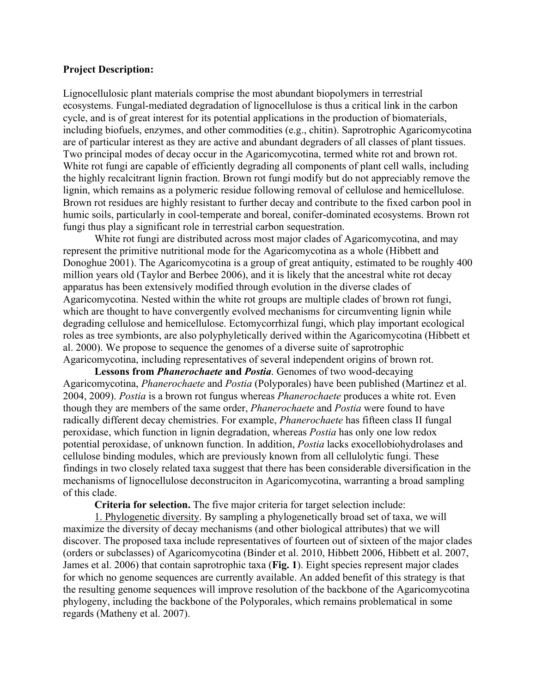#### **Project Description:**

Lignocellulosic plant materials comprise the most abundant biopolymers in terrestrial ecosystems. Fungal-mediated degradation of lignocellulose is thus a critical link in the carbon cycle, and is of great interest for its potential applications in the production of biomaterials, including biofuels, enzymes, and other commodities (e.g., chitin). Saprotrophic Agaricomycotina are of particular interest as they are active and abundant degraders of all classes of plant tissues. Two principal modes of decay occur in the Agaricomycotina, termed white rot and brown rot. White rot fungi are capable of efficiently degrading all components of plant cell walls, including the highly recalcitrant lignin fraction. Brown rot fungi modify but do not appreciably remove the lignin, which remains as a polymeric residue following removal of cellulose and hemicellulose. Brown rot residues are highly resistant to further decay and contribute to the fixed carbon pool in humic soils, particularly in cool-temperate and boreal, conifer-dominated ecosystems. Brown rot fungi thus play a significant role in terrestrial carbon sequestration.

White rot fungi are distributed across most major clades of Agaricomycotina, and may represent the primitive nutritional mode for the Agaricomycotina as a whole (Hibbett and Donoghue 2001). The Agaricomycotina is a group of great antiquity, estimated to be roughly 400 million years old (Taylor and Berbee 2006), and it is likely that the ancestral white rot decay apparatus has been extensively modified through evolution in the diverse clades of Agaricomycotina. Nested within the white rot groups are multiple clades of brown rot fungi, which are thought to have convergently evolved mechanisms for circumventing lignin while degrading cellulose and hemicellulose. Ectomycorrhizal fungi, which play important ecological roles as tree symbionts, are also polyphyletically derived within the Agaricomycotina (Hibbett et al. 2000). We propose to sequence the genomes of a diverse suite of saprotrophic Agaricomycotina, including representatives of several independent origins of brown rot.

**Lessons from** *Phanerochaete* **and** *Postia*. Genomes of two wood-decaying Agaricomycotina, *Phanerochaete* and *Postia* (Polyporales) have been published (Martinez et al. 2004, 2009). *Postia* is a brown rot fungus whereas *Phanerochaete* produces a white rot. Even though they are members of the same order, *Phanerochaete* and *Postia* were found to have radically different decay chemistries. For example, *Phanerochaete* has fifteen class II fungal peroxidase, which function in lignin degradation, whereas *Postia* has only one low redox potential peroxidase, of unknown function. In addition, *Postia* lacks exocellobiohydrolases and cellulose binding modules, which are previously known from all cellulolytic fungi. These findings in two closely related taxa suggest that there has been considerable diversification in the mechanisms of lignocellulose deconstruciton in Agaricomycotina, warranting a broad sampling of this clade.

**Criteria for selection.** The five major criteria for target selection include:

1. Phylogenetic diversity. By sampling a phylogenetically broad set of taxa, we will maximize the diversity of decay mechanisms (and other biological attributes) that we will discover. The proposed taxa include representatives of fourteen out of sixteen of the major clades (orders or subclasses) of Agaricomycotina (Binder et al. 2010, Hibbett 2006, Hibbett et al. 2007, James et al. 2006) that contain saprotrophic taxa (**Fig. 1**). Eight species represent major clades for which no genome sequences are currently available. An added benefit of this strategy is that the resulting genome sequences will improve resolution of the backbone of the Agaricomycotina phylogeny, including the backbone of the Polyporales, which remains problematical in some regards (Matheny et al. 2007).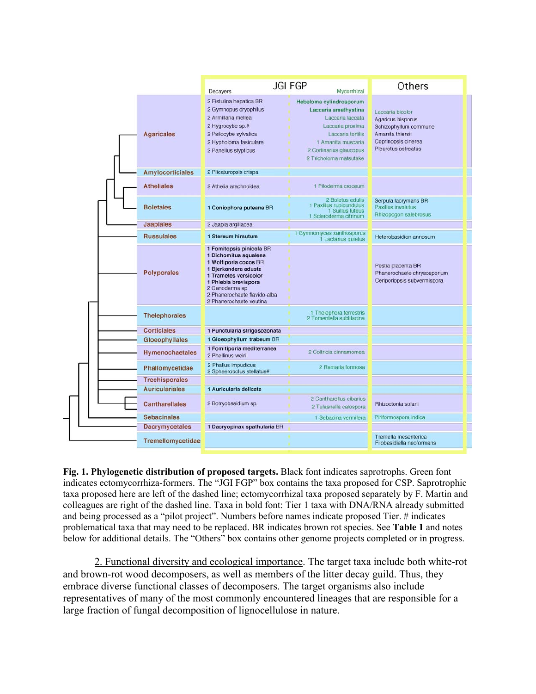

**Fig. 1. Phylogenetic distribution of proposed targets.** Black font indicates saprotrophs. Green font indicates ectomycorrhiza-formers. The "JGI FGP" box contains the taxa proposed for CSP. Saprotrophic taxa proposed here are left of the dashed line; ectomycorrhizal taxa proposed separately by F. Martin and colleagues are right of the dashed line. Taxa in bold font: Tier 1 taxa with DNA/RNA already submitted and being processed as a "pilot project". Numbers before names indicate proposed Tier. # indicates problematical taxa that may need to be replaced. BR indicates brown rot species. See **Table 1** and notes below for additional details. The "Others" box contains other genome projects completed or in progress.

2. Functional diversity and ecological importance. The target taxa include both white-rot and brown-rot wood decomposers, as well as members of the litter decay guild. Thus, they embrace diverse functional classes of decomposers. The target organisms also include representatives of many of the most commonly encountered lineages that are responsible for a large fraction of fungal decomposition of lignocellulose in nature.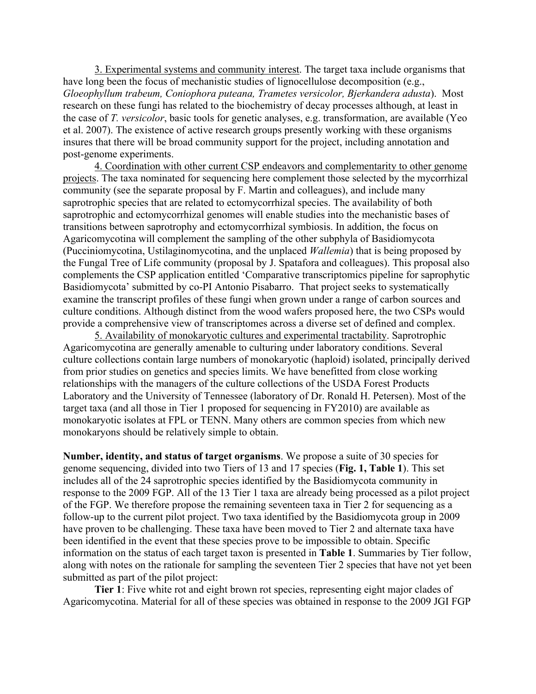3. Experimental systems and community interest. The target taxa include organisms that have long been the focus of mechanistic studies of lignocellulose decomposition (e.g., *Gloeophyllum trabeum, Coniophora puteana, Trametes versicolor, Bjerkandera adusta*). Most research on these fungi has related to the biochemistry of decay processes although, at least in the case of *T. versicolor*, basic tools for genetic analyses, e.g. transformation, are available (Yeo et al. 2007). The existence of active research groups presently working with these organisms insures that there will be broad community support for the project, including annotation and post-genome experiments.

4. Coordination with other current CSP endeavors and complementarity to other genome projects. The taxa nominated for sequencing here complement those selected by the mycorrhizal community (see the separate proposal by F. Martin and colleagues), and include many saprotrophic species that are related to ectomycorrhizal species. The availability of both saprotrophic and ectomycorrhizal genomes will enable studies into the mechanistic bases of transitions between saprotrophy and ectomycorrhizal symbiosis. In addition, the focus on Agaricomycotina will complement the sampling of the other subphyla of Basidiomycota (Pucciniomycotina, Ustilaginomycotina, and the unplaced *Wallemia*) that is being proposed by the Fungal Tree of Life community (proposal by J. Spatafora and colleagues). This proposal also complements the CSP application entitled 'Comparative transcriptomics pipeline for saprophytic Basidiomycota' submitted by co-PI Antonio Pisabarro. That project seeks to systematically examine the transcript profiles of these fungi when grown under a range of carbon sources and culture conditions. Although distinct from the wood wafers proposed here, the two CSPs would provide a comprehensive view of transcriptomes across a diverse set of defined and complex.

5. Availability of monokaryotic cultures and experimental tractability. Saprotrophic Agaricomycotina are generally amenable to culturing under laboratory conditions. Several culture collections contain large numbers of monokaryotic (haploid) isolated, principally derived from prior studies on genetics and species limits. We have benefitted from close working relationships with the managers of the culture collections of the USDA Forest Products Laboratory and the University of Tennessee (laboratory of Dr. Ronald H. Petersen). Most of the target taxa (and all those in Tier 1 proposed for sequencing in FY2010) are available as monokaryotic isolates at FPL or TENN. Many others are common species from which new monokaryons should be relatively simple to obtain.

**Number, identity, and status of target organisms**. We propose a suite of 30 species for genome sequencing, divided into two Tiers of 13 and 17 species (**Fig. 1, Table 1**). This set includes all of the 24 saprotrophic species identified by the Basidiomycota community in response to the 2009 FGP. All of the 13 Tier 1 taxa are already being processed as a pilot project of the FGP. We therefore propose the remaining seventeen taxa in Tier 2 for sequencing as a follow-up to the current pilot project. Two taxa identified by the Basidiomycota group in 2009 have proven to be challenging. These taxa have been moved to Tier 2 and alternate taxa have been identified in the event that these species prove to be impossible to obtain. Specific information on the status of each target taxon is presented in **Table 1**. Summaries by Tier follow, along with notes on the rationale for sampling the seventeen Tier 2 species that have not yet been submitted as part of the pilot project:

**Tier 1**: Five white rot and eight brown rot species, representing eight major clades of Agaricomycotina. Material for all of these species was obtained in response to the 2009 JGI FGP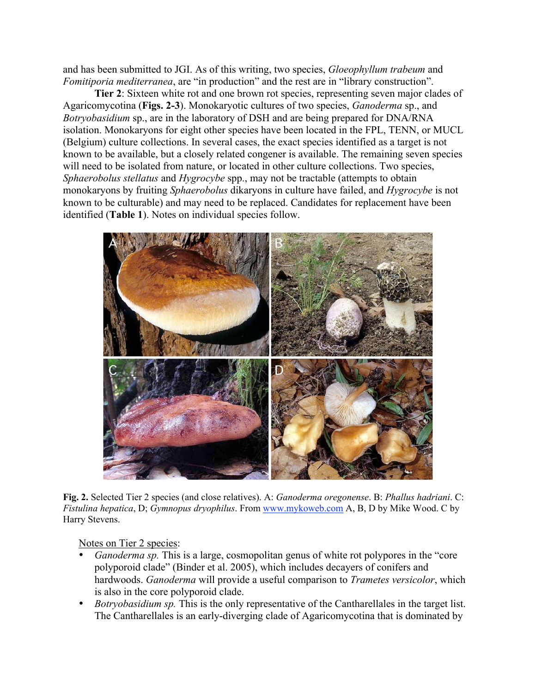and has been submitted to JGI. As of this writing, two species, *Gloeophyllum trabeum* and *Fomitiporia mediterranea*, are "in production" and the rest are in "library construction".

**Tier 2**: Sixteen white rot and one brown rot species, representing seven major clades of Agaricomycotina (**Figs. 2-3**). Monokaryotic cultures of two species, *Ganoderma* sp., and *Botryobasidium* sp., are in the laboratory of DSH and are being prepared for DNA/RNA isolation. Monokaryons for eight other species have been located in the FPL, TENN, or MUCL (Belgium) culture collections. In several cases, the exact species identified as a target is not known to be available, but a closely related congener is available. The remaining seven species will need to be isolated from nature, or located in other culture collections. Two species, *Sphaerobolus stellatus* and *Hygrocybe* spp., may not be tractable (attempts to obtain monokaryons by fruiting *Sphaerobolus* dikaryons in culture have failed, and *Hygrocybe* is not known to be culturable) and may need to be replaced. Candidates for replacement have been identified (**Table 1**). Notes on individual species follow.



**Fig. 2.** Selected Tier 2 species (and close relatives). A: *Ganoderma oregonense*. B: *Phallus hadriani*. C: *Fistulina hepatica*, D; *Gymnopus dryophilus*. From www.mykoweb.com A, B, D by Mike Wood. C by Harry Stevens.

Notes on Tier 2 species:

- *Ganoderma sp.* This is a large, cosmopolitan genus of white rot polypores in the "core polyporoid clade" (Binder et al. 2005), which includes decayers of conifers and hardwoods. *Ganoderma* will provide a useful comparison to *Trametes versicolor*, which is also in the core polyporoid clade.
- *Botryobasidium sp.* This is the only representative of the Cantharellales in the target list. The Cantharellales is an early-diverging clade of Agaricomycotina that is dominated by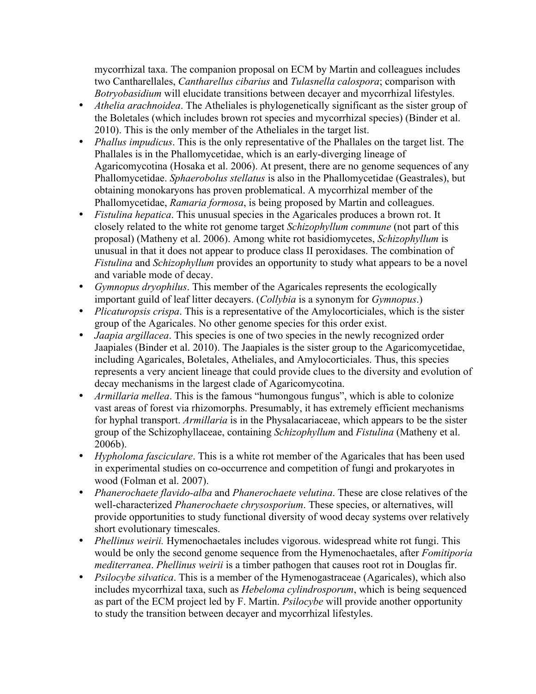mycorrhizal taxa. The companion proposal on ECM by Martin and colleagues includes two Cantharellales, *Cantharellus cibarius* and *Tulasnella calospora*; comparison with *Botryobasidium* will elucidate transitions between decayer and mycorrhizal lifestyles.

- *Athelia arachnoidea*. The Atheliales is phylogenetically significant as the sister group of the Boletales (which includes brown rot species and mycorrhizal species) (Binder et al. 2010). This is the only member of the Atheliales in the target list.
- *Phallus impudicus*. This is the only representative of the Phallales on the target list. The Phallales is in the Phallomycetidae, which is an early-diverging lineage of Agaricomycotina (Hosaka et al. 2006). At present, there are no genome sequences of any Phallomycetidae. *Sphaerobolus stellatus* is also in the Phallomycetidae (Geastrales), but obtaining monokaryons has proven problematical. A mycorrhizal member of the Phallomycetidae, *Ramaria formosa*, is being proposed by Martin and colleagues.
- *Fistulina hepatica*. This unusual species in the Agaricales produces a brown rot. It closely related to the white rot genome target *Schizophyllum commune* (not part of this proposal) (Matheny et al. 2006). Among white rot basidiomycetes, *Schizophyllum* is unusual in that it does not appear to produce class II peroxidases. The combination of *Fistulina* and *Schizophyllum* provides an opportunity to study what appears to be a novel and variable mode of decay.
- *Gymnopus dryophilus*. This member of the Agaricales represents the ecologically important guild of leaf litter decayers. (*Collybia* is a synonym for *Gymnopus*.)
- *Plicaturopsis crispa*. This is a representative of the Amylocorticiales, which is the sister group of the Agaricales. No other genome species for this order exist.
- *Jaapia argillacea*. This species is one of two species in the newly recognized order Jaapiales (Binder et al. 2010). The Jaapiales is the sister group to the Agaricomycetidae, including Agaricales, Boletales, Atheliales, and Amylocorticiales. Thus, this species represents a very ancient lineage that could provide clues to the diversity and evolution of decay mechanisms in the largest clade of Agaricomycotina.
- *Armillaria mellea*. This is the famous "humongous fungus", which is able to colonize vast areas of forest via rhizomorphs. Presumably, it has extremely efficient mechanisms for hyphal transport. *Armillaria* is in the Physalacariaceae, which appears to be the sister group of the Schizophyllaceae, containing *Schizophyllum* and *Fistulina* (Matheny et al. 2006b).
- *Hypholoma fasciculare*. This is a white rot member of the Agaricales that has been used in experimental studies on co-occurrence and competition of fungi and prokaryotes in wood (Folman et al. 2007).
- *Phanerochaete flavido-alba* and *Phanerochaete velutina*. These are close relatives of the well-characterized *Phanerochaete chrysosporium*. These species, or alternatives, will provide opportunities to study functional diversity of wood decay systems over relatively short evolutionary timescales.
- *Phellinus weirii.* Hymenochaetales includes vigorous. widespread white rot fungi. This would be only the second genome sequence from the Hymenochaetales, after *Fomitiporia mediterranea*. *Phellinus weirii* is a timber pathogen that causes root rot in Douglas fir.
- *Psilocybe silvatica*. This is a member of the Hymenogastraceae (Agaricales), which also includes mycorrhizal taxa, such as *Hebeloma cylindrosporum*, which is being sequenced as part of the ECM project led by F. Martin. *Psilocybe* will provide another opportunity to study the transition between decayer and mycorrhizal lifestyles.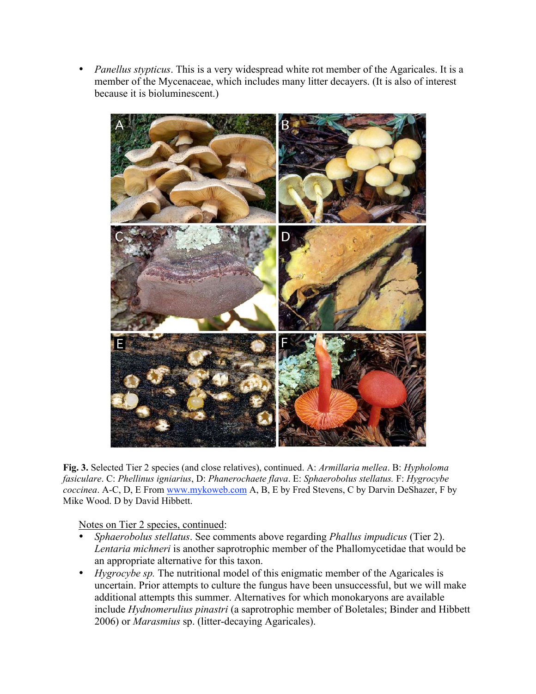• *Panellus stypticus*. This is a very widespread white rot member of the Agaricales. It is a member of the Mycenaceae, which includes many litter decayers. (It is also of interest because it is bioluminescent.)



**Fig. 3.** Selected Tier 2 species (and close relatives), continued. A: *Armillaria mellea*. B: *Hypholoma fasiculare*. C: *Phellinus igniarius*, D: *Phanerochaete flava*. E: *Sphaerobolus stellatus.* F: *Hygrocybe coccinea*. A-C, D, E From www.mykoweb.com A, B, E by Fred Stevens, C by Darvin DeShazer, F by Mike Wood. D by David Hibbett.

Notes on Tier 2 species, continued:

- *Sphaerobolus stellatus*. See comments above regarding *Phallus impudicus* (Tier 2). *Lentaria michneri* is another saprotrophic member of the Phallomycetidae that would be an appropriate alternative for this taxon.
- *Hygrocybe sp.* The nutritional model of this enigmatic member of the Agaricales is uncertain. Prior attempts to culture the fungus have been unsuccessful, but we will make additional attempts this summer. Alternatives for which monokaryons are available include *Hydnomerulius pinastri* (a saprotrophic member of Boletales; Binder and Hibbett 2006) or *Marasmius* sp. (litter-decaying Agaricales).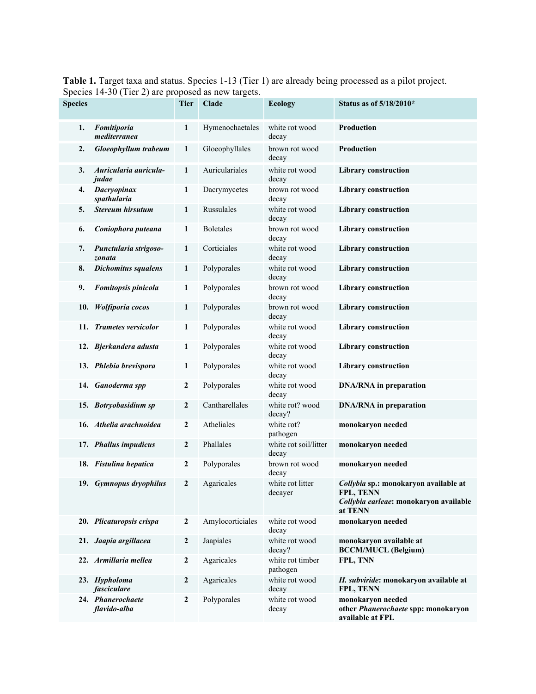**Table 1.** Target taxa and status. Species 1-13 (Tier 1) are already being processed as a pilot project. Species 14-30 (Tier 2) are proposed as new targets.

| <b>Species</b> | $\frac{1}{2}$ . $\frac{1}{2}$ . $\frac{1}{2}$ . $\frac{1}{2}$ . $\frac{1}{2}$ . $\frac{1}{2}$ . $\frac{1}{2}$ . $\frac{1}{2}$ . $\frac{1}{2}$ . $\frac{1}{2}$ . $\frac{1}{2}$ . $\frac{1}{2}$ . $\frac{1}{2}$ . $\frac{1}{2}$ . $\frac{1}{2}$ . $\frac{1}{2}$ . $\frac{1}{2}$ . $\frac{1}{2}$ . $\frac{1$ | $\sim$<br><b>Tier</b> | <b>Clade</b>     | <b>Ecology</b>                 | Status as of 5/18/2010*                                                                                 |
|----------------|-----------------------------------------------------------------------------------------------------------------------------------------------------------------------------------------------------------------------------------------------------------------------------------------------------------|-----------------------|------------------|--------------------------------|---------------------------------------------------------------------------------------------------------|
|                |                                                                                                                                                                                                                                                                                                           |                       |                  | white rot wood                 |                                                                                                         |
| 1.             | Fomitiporia<br>mediterranea                                                                                                                                                                                                                                                                               | $\mathbf{1}$          | Hymenochaetales  | decay                          | Production                                                                                              |
| 2.             | Gloeophyllum trabeum                                                                                                                                                                                                                                                                                      | 1                     | Gloeophyllales   | brown rot wood<br>decay        | Production                                                                                              |
| 3.             | Auricularia auricula-<br>judae                                                                                                                                                                                                                                                                            | 1                     | Auriculariales   | white rot wood<br>decay        | <b>Library construction</b>                                                                             |
| 4.             | Dacryopinax<br>spathularia                                                                                                                                                                                                                                                                                | 1                     | Dacrymycetes     | brown rot wood<br>decay        | <b>Library</b> construction                                                                             |
| 5.             | <b>Stereum hirsutum</b>                                                                                                                                                                                                                                                                                   | 1                     | Russulales       | white rot wood<br>decay        | <b>Library construction</b>                                                                             |
| 6.             | Coniophora puteana                                                                                                                                                                                                                                                                                        | 1                     | <b>Boletales</b> | brown rot wood<br>decay        | <b>Library construction</b>                                                                             |
| 7.             | Punctularia strigoso-<br>zonata                                                                                                                                                                                                                                                                           | 1                     | Corticiales      | white rot wood<br>decay        | <b>Library construction</b>                                                                             |
| 8.             | <b>Dichomitus squalens</b>                                                                                                                                                                                                                                                                                | 1                     | Polyporales      | white rot wood<br>decay        | <b>Library construction</b>                                                                             |
| 9.             | Fomitopsis pinicola                                                                                                                                                                                                                                                                                       | 1                     | Polyporales      | brown rot wood<br>decay        | <b>Library</b> construction                                                                             |
| 10.            | Wolfiporia cocos                                                                                                                                                                                                                                                                                          | 1                     | Polyporales      | brown rot wood<br>decay        | <b>Library construction</b>                                                                             |
|                | 11. Trametes versicolor                                                                                                                                                                                                                                                                                   | 1                     | Polyporales      | white rot wood<br>decay        | <b>Library construction</b>                                                                             |
|                | 12. Bjerkandera adusta                                                                                                                                                                                                                                                                                    | 1                     | Polyporales      | white rot wood<br>decay        | <b>Library construction</b>                                                                             |
|                | 13. Phlebia brevispora                                                                                                                                                                                                                                                                                    | 1                     | Polyporales      | white rot wood<br>decay        | <b>Library</b> construction                                                                             |
|                | 14. Ganoderma spp                                                                                                                                                                                                                                                                                         | $\boldsymbol{2}$      | Polyporales      | white rot wood<br>decay        | <b>DNA/RNA</b> in preparation                                                                           |
|                | 15. Botryobasidium sp                                                                                                                                                                                                                                                                                     | $\boldsymbol{2}$      | Cantharellales   | white rot? wood<br>decay?      | <b>DNA/RNA</b> in preparation                                                                           |
|                | 16. Athelia arachnoidea                                                                                                                                                                                                                                                                                   | $\mathbf{2}$          | Atheliales       | white rot?<br>pathogen         | monokaryon needed                                                                                       |
|                | 17. Phallus impudicus                                                                                                                                                                                                                                                                                     | $\boldsymbol{2}$      | Phallales        | white rot soil/litter<br>decay | monokaryon needed                                                                                       |
|                | 18. Fistulina hepatica                                                                                                                                                                                                                                                                                    | 2                     | Polyporales      | brown rot wood<br>decay        | monokaryon needed                                                                                       |
|                | 19. Gymnopus dryophilus                                                                                                                                                                                                                                                                                   | $\boldsymbol{2}$      | Agaricales       | white rot litter<br>decayer    | Collybia sp.: monokaryon available at<br>FPL, TENN<br>Collybia earleae: monokaryon available<br>at TENN |
|                | 20. Plicaturopsis crispa                                                                                                                                                                                                                                                                                  | 2                     | Amylocorticiales | white rot wood<br>decay        | monokaryon needed                                                                                       |
|                | 21. Jaapia argillacea                                                                                                                                                                                                                                                                                     | 2                     | Jaapiales        | white rot wood<br>decay?       | monokaryon available at<br><b>BCCM/MUCL (Belgium)</b>                                                   |
|                | 22. Armillaria mellea                                                                                                                                                                                                                                                                                     | $\boldsymbol{2}$      | Agaricales       | white rot timber<br>pathogen   | FPL, TNN                                                                                                |
|                | 23. Hypholoma<br>fasciculare                                                                                                                                                                                                                                                                              | $\mathbf{2}$          | Agaricales       | white rot wood<br>decay        | H. subviride: monokaryon available at<br>FPL, TENN                                                      |
|                | 24. Phanerochaete<br>flavido-alba                                                                                                                                                                                                                                                                         | $\boldsymbol{2}$      | Polyporales      | white rot wood<br>decay        | monokaryon needed<br>other Phanerochaete spp: monokaryon<br>available at FPL                            |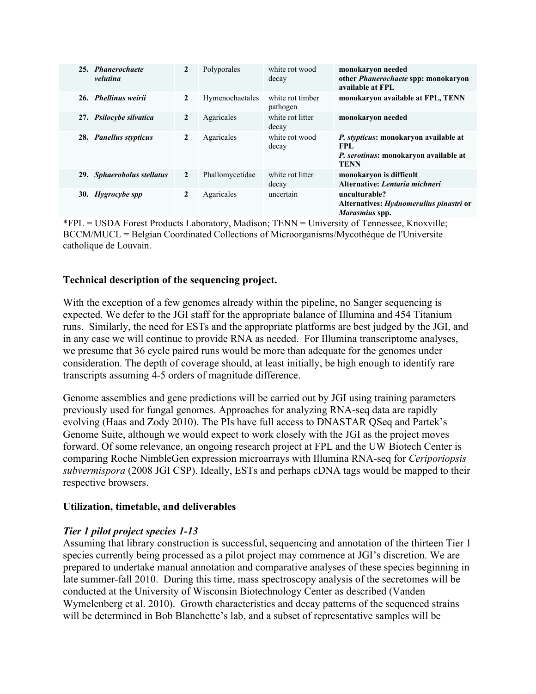| 25. Phanerochaete<br>velutina | $\mathbf{2}$   | Polyporales     | white rot wood<br>decay      | monokaryon needed<br>other <i>Phanerochaete</i> spp: monokaryon<br>available at FPL                                |
|-------------------------------|----------------|-----------------|------------------------------|--------------------------------------------------------------------------------------------------------------------|
| 26. Phellinus weirii          | $\overline{2}$ | Hymenochaetales | white rot timber<br>pathogen | monokaryon available at FPL, TENN                                                                                  |
| 27. Psilocybe silvatica       | $\mathbf{2}$   | Agaricales      | white rot litter<br>decay    | monokaryon needed                                                                                                  |
| 28. Panellus stypticus        | $\mathbf{2}$   | Agaricales      | white rot wood<br>decay      | P. stypticus: monokaryon available at<br><b>FPL</b><br><i>P. serotinus:</i> monokaryon available at<br><b>TENN</b> |
| 29. Sphaerobolus stellatus    | $\mathbf{2}$   | Phallomycetidae | white rot litter<br>decay    | monokaryon is difficult<br>Alternative: Lentaria michneri                                                          |
| 30. Hygrocybe spp             | $\mathbf{2}$   | Agaricales      | uncertain                    | unculturable?<br>Alternatives: <i>Hydnomerulius pinastri</i> or<br>Marasmius spp.                                  |

\*FPL = USDA Forest Products Laboratory, Madison; TENN = University of Tennessee, Knoxville; BCCM/MUCL = Belgian Coordinated Collections of Microorganisms/Mycothèque de l'Universite catholique de Louvain.

# **Technical description of the sequencing project.**

With the exception of a few genomes already within the pipeline, no Sanger sequencing is expected. We defer to the JGI staff for the appropriate balance of Illumina and 454 Titanium runs. Similarly, the need for ESTs and the appropriate platforms are best judged by the JGI, and in any case we will continue to provide RNA as needed. For Illumina transcriptome analyses, we presume that 36 cycle paired runs would be more than adequate for the genomes under consideration. The depth of coverage should, at least initially, be high enough to identify rare transcripts assuming 4-5 orders of magnitude difference.

Genome assemblies and gene predictions will be carried out by JGI using training parameters previously used for fungal genomes. Approaches for analyzing RNA-seq data are rapidly evolving (Haas and Zody 2010). The PIs have full access to DNASTAR QSeq and Partek's Genome Suite, although we would expect to work closely with the JGI as the project moves forward. Of some relevance, an ongoing research project at FPL and the UW Biotech Center is comparing Roche NimbleGen expression microarrays with Illumina RNA-seq for *Ceriporiopsis subvermispora* (2008 JGI CSP). Ideally, ESTs and perhaps cDNA tags would be mapped to their respective browsers.

## **Utilization, timetable, and deliverables**

## *Tier 1 pilot project species 1-13*

Assuming that library construction is successful, sequencing and annotation of the thirteen Tier 1 species currently being processed as a pilot project may commence at JGI's discretion. We are prepared to undertake manual annotation and comparative analyses of these species beginning in late summer-fall 2010. During this time, mass spectroscopy analysis of the secretomes will be conducted at the University of Wisconsin Biotechnology Center as described (Vanden Wymelenberg et al. 2010). Growth characteristics and decay patterns of the sequenced strains will be determined in Bob Blanchette's lab, and a subset of representative samples will be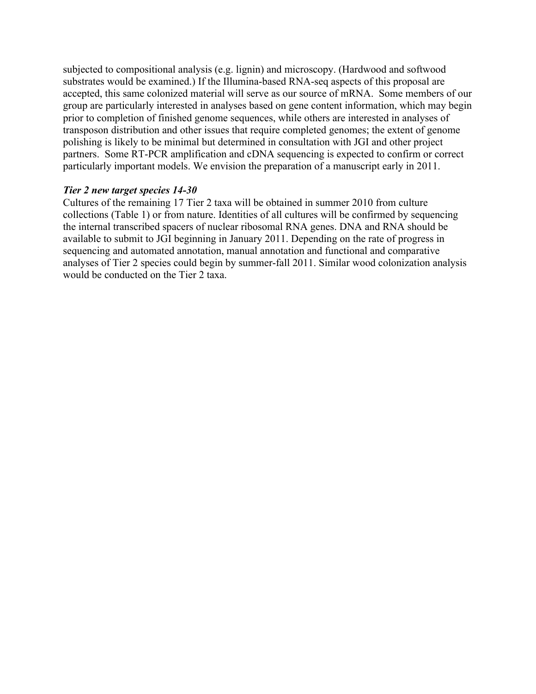subjected to compositional analysis (e.g. lignin) and microscopy. (Hardwood and softwood substrates would be examined.) If the Illumina-based RNA-seq aspects of this proposal are accepted, this same colonized material will serve as our source of mRNA. Some members of our group are particularly interested in analyses based on gene content information, which may begin prior to completion of finished genome sequences, while others are interested in analyses of transposon distribution and other issues that require completed genomes; the extent of genome polishing is likely to be minimal but determined in consultation with JGI and other project partners. Some RT-PCR amplification and cDNA sequencing is expected to confirm or correct particularly important models. We envision the preparation of a manuscript early in 2011.

## *Tier 2 new target species 14-30*

Cultures of the remaining 17 Tier 2 taxa will be obtained in summer 2010 from culture collections (Table 1) or from nature. Identities of all cultures will be confirmed by sequencing the internal transcribed spacers of nuclear ribosomal RNA genes. DNA and RNA should be available to submit to JGI beginning in January 2011. Depending on the rate of progress in sequencing and automated annotation, manual annotation and functional and comparative analyses of Tier 2 species could begin by summer-fall 2011. Similar wood colonization analysis would be conducted on the Tier 2 taxa.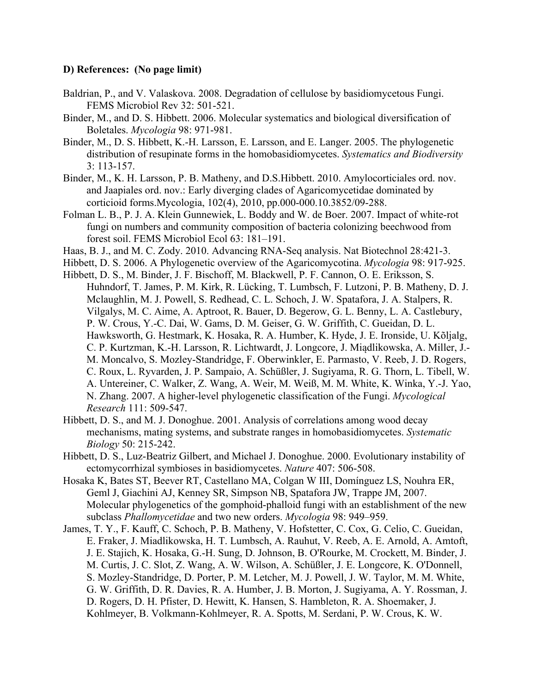## **D) References: (No page limit)**

- Baldrian, P., and V. Valaskova. 2008. Degradation of cellulose by basidiomycetous Fungi. FEMS Microbiol Rev 32: 501-521.
- Binder, M., and D. S. Hibbett. 2006. Molecular systematics and biological diversification of Boletales. *Mycologia* 98: 971-981.
- Binder, M., D. S. Hibbett, K.-H. Larsson, E. Larsson, and E. Langer. 2005. The phylogenetic distribution of resupinate forms in the homobasidiomycetes. *Systematics and Biodiversity* 3: 113-157.
- Binder, M., K. H. Larsson, P. B. Matheny, and D.S.Hibbett. 2010. Amylocorticiales ord. nov. and Jaapiales ord. nov.: Early diverging clades of Agaricomycetidae dominated by corticioid forms.Mycologia, 102(4), 2010, pp.000-000.10.3852/09-288.
- Folman L. B., P. J. A. Klein Gunnewiek, L. Boddy and W. de Boer. 2007. Impact of white-rot fungi on numbers and community composition of bacteria colonizing beechwood from forest soil. FEMS Microbiol Ecol 63: 181–191.
- Haas, B. J., and M. C. Zody. 2010. Advancing RNA-Seq analysis. Nat Biotechnol 28:421-3.
- Hibbett, D. S. 2006. A Phylogenetic overview of the Agaricomycotina. *Mycologia* 98: 917-925.
- Hibbett, D. S., M. Binder, J. F. Bischoff, M. Blackwell, P. F. Cannon, O. E. Eriksson, S. Huhndorf, T. James, P. M. Kirk, R. Lücking, T. Lumbsch, F. Lutzoni, P. B. Matheny, D. J. Mclaughlin, M. J. Powell, S. Redhead, C. L. Schoch, J. W. Spatafora, J. A. Stalpers, R. Vilgalys, M. C. Aime, A. Aptroot, R. Bauer, D. Begerow, G. L. Benny, L. A. Castlebury, P. W. Crous, Y.-C. Dai, W. Gams, D. M. Geiser, G. W. Griffith, C. Gueidan, D. L. Hawksworth, G. Hestmark, K. Hosaka, R. A. Humber, K. Hyde, J. E. Ironside, U. Kõljalg, C. P. Kurtzman, K.-H. Larsson, R. Lichtwardt, J. Longcore, J. Miądlikowska, A. Miller, J.- M. Moncalvo, S. Mozley-Standridge, F. Oberwinkler, E. Parmasto, V. Reeb, J. D. Rogers, C. Roux, L. Ryvarden, J. P. Sampaio, A. Schüßler, J. Sugiyama, R. G. Thorn, L. Tibell, W. A. Untereiner, C. Walker, Z. Wang, A. Weir, M. Weiß, M. M. White, K. Winka, Y.-J. Yao, N. Zhang. 2007. A higher-level phylogenetic classification of the Fungi. *Mycological Research* 111: 509-547.
- Hibbett, D. S., and M. J. Donoghue. 2001. Analysis of correlations among wood decay mechanisms, mating systems, and substrate ranges in homobasidiomycetes. *Systematic Biology* 50: 215-242.
- Hibbett, D. S., Luz-Beatriz Gilbert, and Michael J. Donoghue. 2000. Evolutionary instability of ectomycorrhizal symbioses in basidiomycetes. *Nature* 407: 506-508.
- Hosaka K, Bates ST, Beever RT, Castellano MA, Colgan W III, Domínguez LS, Nouhra ER, Geml J, Giachini AJ, Kenney SR, Simpson NB, Spatafora JW, Trappe JM, 2007. Molecular phylogenetics of the gomphoid-phalloid fungi with an establishment of the new subclass *Phallomycetidae* and two new orders. *Mycologia* 98: 949–959.
- James, T. Y., F. Kauff, C. Schoch, P. B. Matheny, V. Hofstetter, C. Cox, G. Celio, C. Gueidan, E. Fraker, J. Miadlikowska, H. T. Lumbsch, A. Rauhut, V. Reeb, A. E. Arnold, A. Amtoft, J. E. Stajich, K. Hosaka, G.-H. Sung, D. Johnson, B. O'Rourke, M. Crockett, M. Binder, J. M. Curtis, J. C. Slot, Z. Wang, A. W. Wilson, A. Schüßler, J. E. Longcore, K. O'Donnell, S. Mozley-Standridge, D. Porter, P. M. Letcher, M. J. Powell, J. W. Taylor, M. M. White, G. W. Griffith, D. R. Davies, R. A. Humber, J. B. Morton, J. Sugiyama, A. Y. Rossman, J. D. Rogers, D. H. Pfister, D. Hewitt, K. Hansen, S. Hambleton, R. A. Shoemaker, J. Kohlmeyer, B. Volkmann-Kohlmeyer, R. A. Spotts, M. Serdani, P. W. Crous, K. W.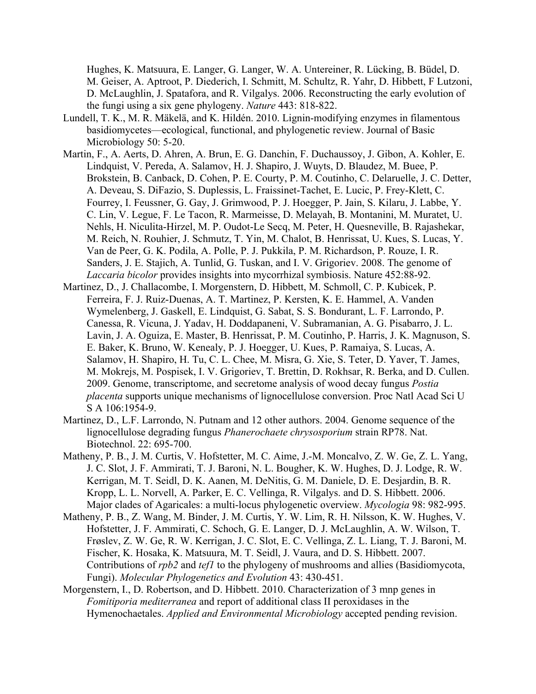Hughes, K. Matsuura, E. Langer, G. Langer, W. A. Untereiner, R. Lücking, B. Büdel, D. M. Geiser, A. Aptroot, P. Diederich, I. Schmitt, M. Schultz, R. Yahr, D. Hibbett, F Lutzoni, D. McLaughlin, J. Spatafora, and R. Vilgalys. 2006. Reconstructing the early evolution of the fungi using a six gene phylogeny. *Nature* 443: 818-822.

- Lundell, T. K., M. R. Mäkelä, and K. Hildén. 2010. Lignin-modifying enzymes in filamentous basidiomycetes—ecological, functional, and phylogenetic review. Journal of Basic Microbiology 50: 5-20.
- Martin, F., A. Aerts, D. Ahren, A. Brun, E. G. Danchin, F. Duchaussoy, J. Gibon, A. Kohler, E. Lindquist, V. Pereda, A. Salamov, H. J. Shapiro, J. Wuyts, D. Blaudez, M. Buee, P. Brokstein, B. Canback, D. Cohen, P. E. Courty, P. M. Coutinho, C. Delaruelle, J. C. Detter, A. Deveau, S. DiFazio, S. Duplessis, L. Fraissinet-Tachet, E. Lucic, P. Frey-Klett, C. Fourrey, I. Feussner, G. Gay, J. Grimwood, P. J. Hoegger, P. Jain, S. Kilaru, J. Labbe, Y. C. Lin, V. Legue, F. Le Tacon, R. Marmeisse, D. Melayah, B. Montanini, M. Muratet, U. Nehls, H. Niculita-Hirzel, M. P. Oudot-Le Secq, M. Peter, H. Quesneville, B. Rajashekar, M. Reich, N. Rouhier, J. Schmutz, T. Yin, M. Chalot, B. Henrissat, U. Kues, S. Lucas, Y. Van de Peer, G. K. Podila, A. Polle, P. J. Pukkila, P. M. Richardson, P. Rouze, I. R. Sanders, J. E. Stajich, A. Tunlid, G. Tuskan, and I. V. Grigoriev. 2008. The genome of *Laccaria bicolor* provides insights into mycorrhizal symbiosis. Nature 452:88-92.
- Martinez, D., J. Challacombe, I. Morgenstern, D. Hibbett, M. Schmoll, C. P. Kubicek, P. Ferreira, F. J. Ruiz-Duenas, A. T. Martinez, P. Kersten, K. E. Hammel, A. Vanden Wymelenberg, J. Gaskell, E. Lindquist, G. Sabat, S. S. Bondurant, L. F. Larrondo, P. Canessa, R. Vicuna, J. Yadav, H. Doddapaneni, V. Subramanian, A. G. Pisabarro, J. L. Lavin, J. A. Oguiza, E. Master, B. Henrissat, P. M. Coutinho, P. Harris, J. K. Magnuson, S. E. Baker, K. Bruno, W. Kenealy, P. J. Hoegger, U. Kues, P. Ramaiya, S. Lucas, A. Salamov, H. Shapiro, H. Tu, C. L. Chee, M. Misra, G. Xie, S. Teter, D. Yaver, T. James, M. Mokrejs, M. Pospisek, I. V. Grigoriev, T. Brettin, D. Rokhsar, R. Berka, and D. Cullen. 2009. Genome, transcriptome, and secretome analysis of wood decay fungus *Postia placenta* supports unique mechanisms of lignocellulose conversion. Proc Natl Acad Sci U S A 106:1954-9.
- Martinez, D., L.F. Larrondo, N. Putnam and 12 other authors. 2004. Genome sequence of the lignocellulose degrading fungus *Phanerochaete chrysosporium* strain RP78. Nat. Biotechnol. 22: 695-700.
- Matheny, P. B., J. M. Curtis, V. Hofstetter, M. C. Aime, J.-M. Moncalvo, Z. W. Ge, Z. L. Yang, J. C. Slot, J. F. Ammirati, T. J. Baroni, N. L. Bougher, K. W. Hughes, D. J. Lodge, R. W. Kerrigan, M. T. Seidl, D. K. Aanen, M. DeNitis, G. M. Daniele, D. E. Desjardin, B. R. Kropp, L. L. Norvell, A. Parker, E. C. Vellinga, R. Vilgalys. and D. S. Hibbett. 2006. Major clades of Agaricales: a multi-locus phylogenetic overview. *Mycologia* 98: 982-995.
- Matheny, P. B., Z. Wang, M. Binder, J. M. Curtis, Y. W. Lim, R. H. Nilsson, K. W. Hughes, V. Hofstetter, J. F. Ammirati, C. Schoch, G. E. Langer, D. J. McLaughlin, A. W. Wilson, T. Frøslev, Z. W. Ge, R. W. Kerrigan, J. C. Slot, E. C. Vellinga, Z. L. Liang, T. J. Baroni, M. Fischer, K. Hosaka, K. Matsuura, M. T. Seidl, J. Vaura, and D. S. Hibbett. 2007. Contributions of *rpb2* and *tef1* to the phylogeny of mushrooms and allies (Basidiomycota, Fungi). *Molecular Phylogenetics and Evolution* 43: 430-451.
- Morgenstern, I., D. Robertson, and D. Hibbett. 2010. Characterization of 3 mnp genes in *Fomitiporia mediterranea* and report of additional class II peroxidases in the Hymenochaetales. *Applied and Environmental Microbiology* accepted pending revision.